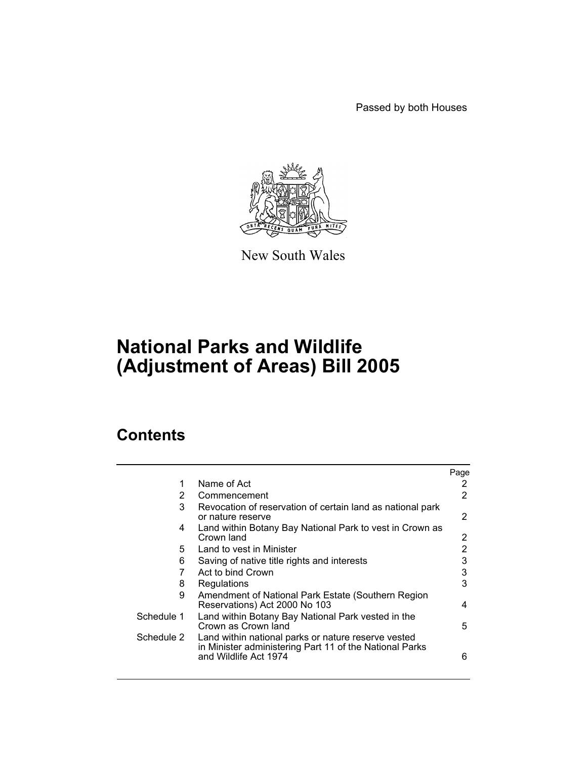Passed by both Houses



New South Wales

# **National Parks and Wildlife (Adjustment of Areas) Bill 2005**

## **Contents**

|            |                                                                                                                                         | Page           |
|------------|-----------------------------------------------------------------------------------------------------------------------------------------|----------------|
| 1          | Name of Act                                                                                                                             | 2              |
| 2          | Commencement                                                                                                                            | 2              |
| 3          | Revocation of reservation of certain land as national park<br>or nature reserve                                                         | 2              |
| 4          | Land within Botany Bay National Park to vest in Crown as<br>Crown land                                                                  | 2              |
| 5.         | Land to vest in Minister                                                                                                                | $\overline{2}$ |
| 6          | Saving of native title rights and interests                                                                                             | 3              |
| 7          | Act to bind Crown                                                                                                                       | 3              |
| 8          | Regulations                                                                                                                             | 3              |
| 9          | Amendment of National Park Estate (Southern Region<br>Reservations) Act 2000 No 103                                                     | 4              |
| Schedule 1 | Land within Botany Bay National Park vested in the<br>Crown as Crown land                                                               | 5              |
| Schedule 2 | Land within national parks or nature reserve vested<br>in Minister administering Part 11 of the National Parks<br>and Wildlife Act 1974 | 6              |
|            |                                                                                                                                         |                |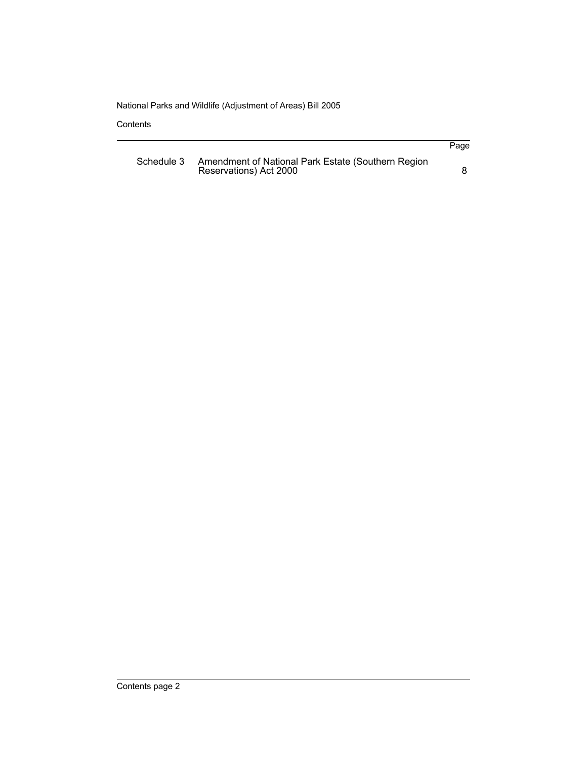**Contents** 

|            |                                                                              | Page |
|------------|------------------------------------------------------------------------------|------|
| Schedule 3 | Amendment of National Park Estate (Southern Region<br>Reservations) Act 2000 |      |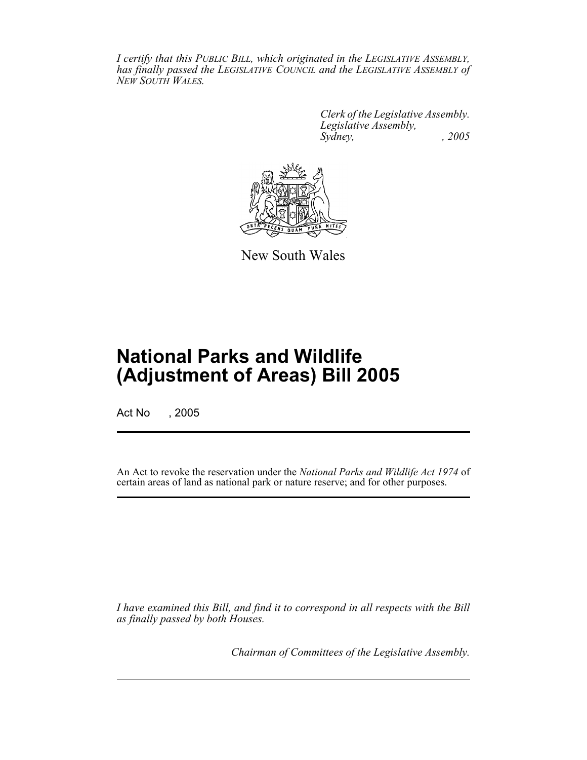*I certify that this PUBLIC BILL, which originated in the LEGISLATIVE ASSEMBLY, has finally passed the LEGISLATIVE COUNCIL and the LEGISLATIVE ASSEMBLY of NEW SOUTH WALES.*

> *Clerk of the Legislative Assembly. Legislative Assembly, Sydney, , 2005*



New South Wales

## **National Parks and Wildlife (Adjustment of Areas) Bill 2005**

Act No , 2005

An Act to revoke the reservation under the *National Parks and Wildlife Act 1974* of certain areas of land as national park or nature reserve; and for other purposes.

*I have examined this Bill, and find it to correspond in all respects with the Bill as finally passed by both Houses.*

*Chairman of Committees of the Legislative Assembly.*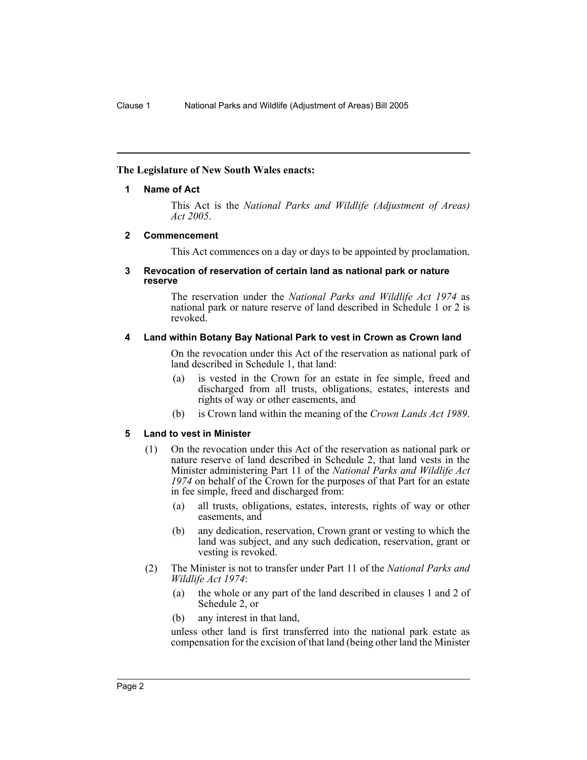#### **The Legislature of New South Wales enacts:**

#### **1 Name of Act**

This Act is the *National Parks and Wildlife (Adjustment of Areas) Act 2005*.

#### <span id="page-3-0"></span>**2 Commencement**

This Act commences on a day or days to be appointed by proclamation.

#### <span id="page-3-1"></span>**3 Revocation of reservation of certain land as national park or nature reserve**

The reservation under the *National Parks and Wildlife Act 1974* as national park or nature reserve of land described in Schedule 1 or 2 is revoked.

#### <span id="page-3-2"></span>**4 Land within Botany Bay National Park to vest in Crown as Crown land**

On the revocation under this Act of the reservation as national park of land described in Schedule 1, that land:

- (a) is vested in the Crown for an estate in fee simple, freed and discharged from all trusts, obligations, estates, interests and rights of way or other easements, and
- (b) is Crown land within the meaning of the *Crown Lands Act 1989*.

#### <span id="page-3-3"></span>**5 Land to vest in Minister**

- (1) On the revocation under this Act of the reservation as national park or nature reserve of land described in Schedule 2, that land vests in the Minister administering Part 11 of the *National Parks and Wildlife Act 1974* on behalf of the Crown for the purposes of that Part for an estate in fee simple, freed and discharged from:
	- (a) all trusts, obligations, estates, interests, rights of way or other easements, and
	- (b) any dedication, reservation, Crown grant or vesting to which the land was subject, and any such dedication, reservation, grant or vesting is revoked.
- (2) The Minister is not to transfer under Part 11 of the *National Parks and Wildlife Act 1974*:
	- (a) the whole or any part of the land described in clauses 1 and 2 of Schedule 2, or
	- (b) any interest in that land,

unless other land is first transferred into the national park estate as compensation for the excision of that land (being other land the Minister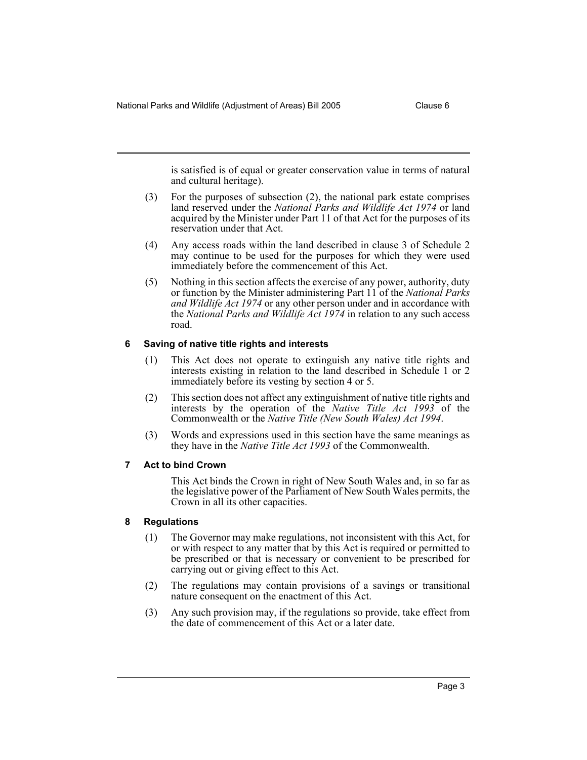National Parks and Wildlife (Adjustment of Areas) Bill 2005 Clause 6

is satisfied is of equal or greater conservation value in terms of natural and cultural heritage).

- (3) For the purposes of subsection (2), the national park estate comprises land reserved under the *National Parks and Wildlife Act 1974* or land acquired by the Minister under Part 11 of that Act for the purposes of its reservation under that Act.
- (4) Any access roads within the land described in clause 3 of Schedule 2 may continue to be used for the purposes for which they were used immediately before the commencement of this Act.
- (5) Nothing in this section affects the exercise of any power, authority, duty or function by the Minister administering Part 11 of the *National Parks and Wildlife Act 1974* or any other person under and in accordance with the *National Parks and Wildlife Act 1974* in relation to any such access road.

#### <span id="page-4-0"></span>**6 Saving of native title rights and interests**

- (1) This Act does not operate to extinguish any native title rights and interests existing in relation to the land described in Schedule 1 or 2 immediately before its vesting by section 4 or 5.
- (2) This section does not affect any extinguishment of native title rights and interests by the operation of the *Native Title Act 1993* of the Commonwealth or the *Native Title (New South Wales) Act 1994*.
- (3) Words and expressions used in this section have the same meanings as they have in the *Native Title Act 1993* of the Commonwealth.

#### <span id="page-4-1"></span>**7 Act to bind Crown**

This Act binds the Crown in right of New South Wales and, in so far as the legislative power of the Parliament of New South Wales permits, the Crown in all its other capacities.

#### <span id="page-4-2"></span>**8 Regulations**

- (1) The Governor may make regulations, not inconsistent with this Act, for or with respect to any matter that by this Act is required or permitted to be prescribed or that is necessary or convenient to be prescribed for carrying out or giving effect to this Act.
- (2) The regulations may contain provisions of a savings or transitional nature consequent on the enactment of this Act.
- (3) Any such provision may, if the regulations so provide, take effect from the date of commencement of this Act or a later date.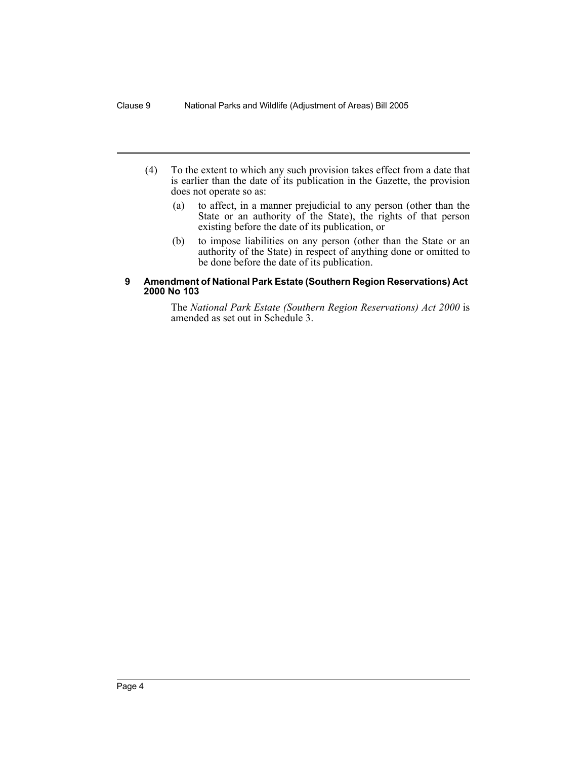- (4) To the extent to which any such provision takes effect from a date that is earlier than the date of its publication in the Gazette, the provision does not operate so as:
	- (a) to affect, in a manner prejudicial to any person (other than the State or an authority of the State), the rights of that person existing before the date of its publication, or
	- (b) to impose liabilities on any person (other than the State or an authority of the State) in respect of anything done or omitted to be done before the date of its publication.

#### <span id="page-5-0"></span>**9 Amendment of National Park Estate (Southern Region Reservations) Act 2000 No 103**

The *National Park Estate (Southern Region Reservations) Act 2000* is amended as set out in Schedule 3.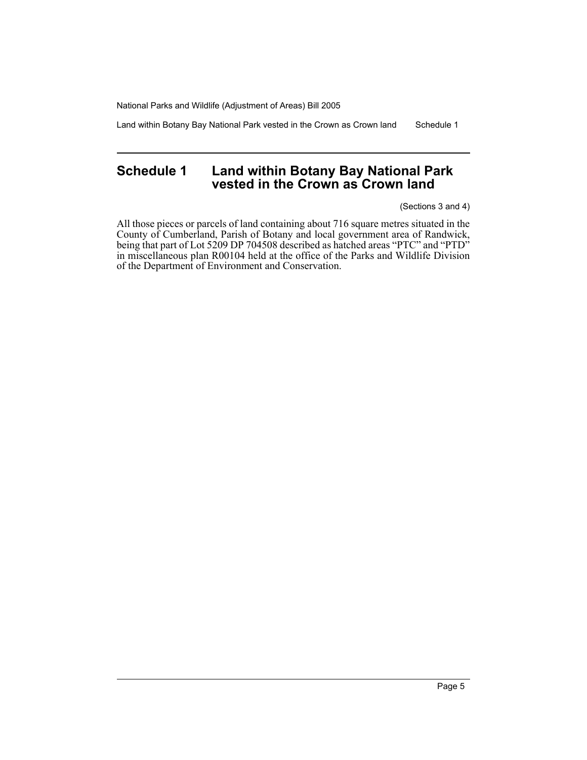Land within Botany Bay National Park vested in the Crown as Crown land Schedule 1

### <span id="page-6-0"></span>**Schedule 1 Land within Botany Bay National Park vested in the Crown as Crown land**

(Sections 3 and 4)

All those pieces or parcels of land containing about 716 square metres situated in the County of Cumberland, Parish of Botany and local government area of Randwick, being that part of Lot 5209 DP 704508 described as hatched areas "PTC" and "PTD" in miscellaneous plan R00104 held at the office of the Parks and Wildlife Division of the Department of Environment and Conservation.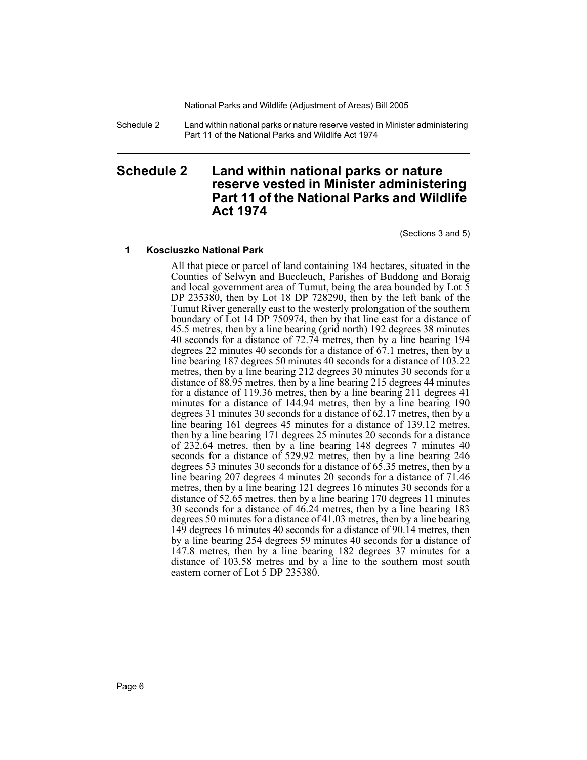Schedule 2 Land within national parks or nature reserve vested in Minister administering Part 11 of the National Parks and Wildlife Act 1974

### <span id="page-7-0"></span>**Schedule 2 Land within national parks or nature reserve vested in Minister administering Part 11 of the National Parks and Wildlife Act 1974**

(Sections 3 and 5)

#### **1 Kosciuszko National Park**

All that piece or parcel of land containing 184 hectares, situated in the Counties of Selwyn and Buccleuch, Parishes of Buddong and Boraig and local government area of Tumut, being the area bounded by Lot 5 DP 235380, then by Lot 18 DP 728290, then by the left bank of the Tumut River generally east to the westerly prolongation of the southern boundary of Lot 14 DP 750974, then by that line east for a distance of 45.5 metres, then by a line bearing (grid north) 192 degrees 38 minutes 40 seconds for a distance of 72.74 metres, then by a line bearing 194 degrees 22 minutes 40 seconds for a distance of 67.1 metres, then by a line bearing 187 degrees 50 minutes 40 seconds for a distance of 103.22 metres, then by a line bearing 212 degrees 30 minutes 30 seconds for a distance of 88.95 metres, then by a line bearing 215 degrees 44 minutes for a distance of 119.36 metres, then by a line bearing 211 degrees 41 minutes for a distance of 144.94 metres, then by a line bearing 190 degrees 31 minutes 30 seconds for a distance of 62.17 metres, then by a line bearing 161 degrees 45 minutes for a distance of 139.12 metres, then by a line bearing 171 degrees 25 minutes 20 seconds for a distance of 232.64 metres, then by a line bearing 148 degrees 7 minutes 40 seconds for a distance of 529.92 metres, then by a line bearing 246 degrees 53 minutes 30 seconds for a distance of 65.35 metres, then by a line bearing 207 degrees 4 minutes 20 seconds for a distance of 71.46 metres, then by a line bearing 121 degrees 16 minutes 30 seconds for a distance of 52.65 metres, then by a line bearing 170 degrees 11 minutes 30 seconds for a distance of 46.24 metres, then by a line bearing 183 degrees 50 minutes for a distance of 41.03 metres, then by a line bearing 149 degrees 16 minutes 40 seconds for a distance of 90.14 metres, then by a line bearing 254 degrees 59 minutes 40 seconds for a distance of 147.8 metres, then by a line bearing 182 degrees 37 minutes for a distance of 103.58 metres and by a line to the southern most south eastern corner of Lot 5 DP 235380.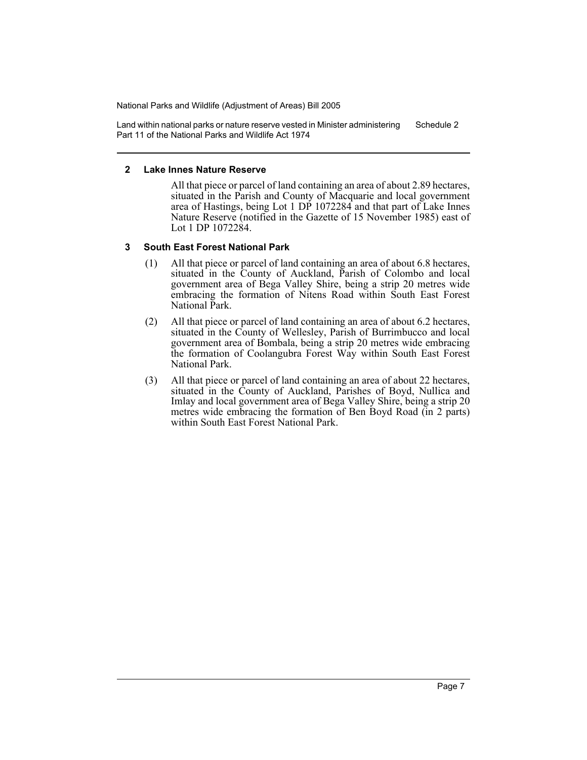Land within national parks or nature reserve vested in Minister administering Part 11 of the National Parks and Wildlife Act 1974 Schedule 2

#### **2 Lake Innes Nature Reserve**

All that piece or parcel of land containing an area of about 2.89 hectares, situated in the Parish and County of Macquarie and local government area of Hastings, being Lot 1 DP 1072284 and that part of Lake Innes Nature Reserve (notified in the Gazette of 15 November 1985) east of Lot 1 DP 1072284.

#### **3 South East Forest National Park**

- (1) All that piece or parcel of land containing an area of about 6.8 hectares, situated in the County of Auckland, Parish of Colombo and local government area of Bega Valley Shire, being a strip 20 metres wide embracing the formation of Nitens Road within South East Forest National Park.
- (2) All that piece or parcel of land containing an area of about 6.2 hectares, situated in the County of Wellesley, Parish of Burrimbucco and local government area of Bombala, being a strip 20 metres wide embracing the formation of Coolangubra Forest Way within South East Forest National Park.
- (3) All that piece or parcel of land containing an area of about 22 hectares, situated in the County of Auckland, Parishes of Boyd, Nullica and Imlay and local government area of Bega Valley Shire, being a strip 20 metres wide embracing the formation of Ben Boyd Road (in 2 parts) within South East Forest National Park.